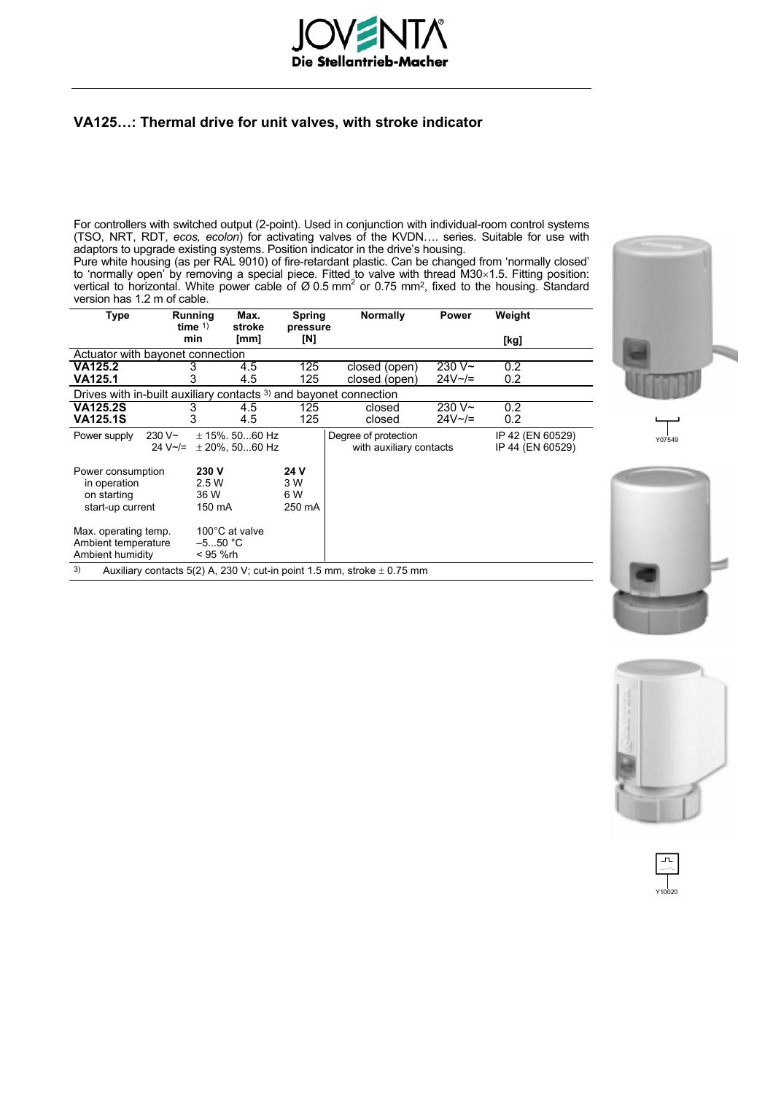

# **VA125…: Thermal drive for unit valves, with stroke indicator**

For controllers with switched output (2-point). Used in conjunction with individual-room control systems (TSO, NRT, RDT, *ecos, ecolon*) for activating valves of the KVDN…. series. Suitable for use with adaptors to upgrade existing systems. Position indicator in the drive's housing.

Pure white housing (as per RAL 9010) of fire-retardant plastic. Can be changed from 'normally closed' to 'normally open' by removing a special piece. Fitted to valve with thread M30×1.5. Fitting position:<br>vertical to horizontal. White power cable of Ø 0.5 mm<sup>2</sup> or 0.75 mm<sup>2</sup>, fixed to the housing. Standard version has 1.2 m of cable.

| Type                                                                              |                 | Running<br>time $1$ ) | Max.<br>stroke     | Spring<br>pressure | <b>Normally</b>         | Power          | Weight           |  |  |  |
|-----------------------------------------------------------------------------------|-----------------|-----------------------|--------------------|--------------------|-------------------------|----------------|------------------|--|--|--|
|                                                                                   |                 | min                   | [mm]               | [N]                |                         |                | [kg]             |  |  |  |
| Actuator with bayonet connection                                                  |                 |                       |                    |                    |                         |                |                  |  |  |  |
| VA125.2                                                                           |                 | 3                     | 4.5                | 125                | closed (open)           | $230V -$       | 0.2              |  |  |  |
| VA125.1                                                                           |                 |                       | 4.5                | 125                | closed (open)           | $24V \sim 7$   | 0.2              |  |  |  |
| Drives with in-built auxiliary contacts 3) and bayonet connection                 |                 |                       |                    |                    |                         |                |                  |  |  |  |
| <b>VA125.2S</b>                                                                   |                 | 3                     | 4.5                | 125                | closed                  | 230 V~         | $0.2^{\circ}$    |  |  |  |
| VA125.1S                                                                          |                 | 3                     | 4.5                | 125                | closed                  | $24V \sim l =$ | 0.2 <sub>0</sub> |  |  |  |
| Power supply                                                                      | 230 V~          |                       | $\pm$ 15%. 5060 Hz |                    | Degree of protection    |                | IP 42 (EN 60529) |  |  |  |
|                                                                                   | $24 V \sim l =$ |                       | $±$ 20%, 5060 Hz   |                    | with auxiliary contacts |                | IP 44 (EN 60529) |  |  |  |
| Power consumption                                                                 |                 | 230 V                 |                    | 24 V               |                         |                |                  |  |  |  |
| in operation                                                                      |                 | 2.5 W                 |                    | 3 W                |                         |                |                  |  |  |  |
| on starting                                                                       |                 | 36 W                  |                    | 6 W                |                         |                |                  |  |  |  |
| start-up current                                                                  |                 | 150 mA                |                    | 250 mA             |                         |                |                  |  |  |  |
| Max. operating temp.                                                              |                 |                       | 100°C at valve     |                    |                         |                |                  |  |  |  |
| Ambient temperature                                                               |                 | $-550$ °C             |                    |                    |                         |                |                  |  |  |  |
| Ambient humidity                                                                  |                 | < 95 %rh              |                    |                    |                         |                |                  |  |  |  |
| 3)<br>Auxiliary contacts 5(2) A, 230 V; cut-in point 1.5 mm, stroke $\pm$ 0.75 mm |                 |                       |                    |                    |                         |                |                  |  |  |  |









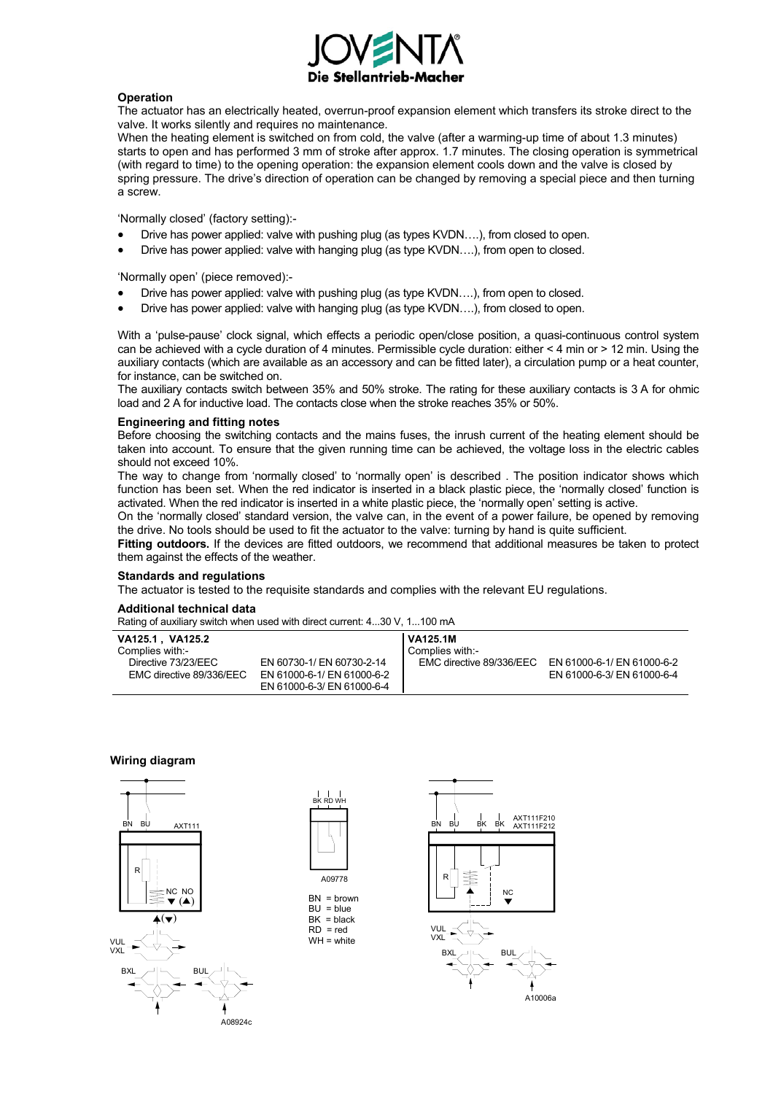

### **Operation**

The actuator has an electrically heated, overrun-proof expansion element which transfers its stroke direct to the valve. It works silently and requires no maintenance.

When the heating element is switched on from cold, the valve (after a warming-up time of about 1.3 minutes) starts to open and has performed 3 mm of stroke after approx. 1.7 minutes. The closing operation is symmetrical (with regard to time) to the opening operation: the expansion element cools down and the valve is closed by spring pressure. The drive's direction of operation can be changed by removing a special piece and then turning a screw.

'Normally closed' (factory setting):-

- Drive has power applied: valve with pushing plug (as types KVDN….), from closed to open.
- Drive has power applied: valve with hanging plug (as type KVDN….), from open to closed.

'Normally open' (piece removed):-

- Drive has power applied: valve with pushing plug (as type KVDN….), from open to closed.
- Drive has power applied: valve with hanging plug (as type KVDN....), from closed to open.

With a 'pulse-pause' clock signal, which effects a periodic open/close position, a quasi-continuous control system can be achieved with a cycle duration of 4 minutes. Permissible cycle duration: either < 4 min or > 12 min. Using the auxiliary contacts (which are available as an accessory and can be fitted later), a circulation pump or a heat counter, for instance, can be switched on.

The auxiliary contacts switch between 35% and 50% stroke. The rating for these auxiliary contacts is 3 A for ohmic load and 2 A for inductive load. The contacts close when the stroke reaches 35% or 50%.

### **Engineering and fitting notes**

Before choosing the switching contacts and the mains fuses, the inrush current of the heating element should be taken into account. To ensure that the given running time can be achieved, the voltage loss in the electric cables should not exceed 10%.

The way to change from 'normally closed' to 'normally open' is described . The position indicator shows which function has been set. When the red indicator is inserted in a black plastic piece, the 'normally closed' function is activated. When the red indicator is inserted in a white plastic piece, the 'normally open' setting is active.

On the 'normally closed' standard version, the valve can, in the event of a power failure, be opened by removing the drive. No tools should be used to fit the actuator to the valve: turning by hand is quite sufficient.

**Fitting outdoors.** If the devices are fitted outdoors, we recommend that additional measures be taken to protect them against the effects of the weather.

### **Standards and regulations**

The actuator is tested to the requisite standards and complies with the relevant EU regulations.

### **Additional technical data**

Rating of auxiliary switch when used with direct current: 4...30 V, 1...100 mA

| VA125.1,VA125.2          |                            | <b>VA125.1M</b>          |                            |
|--------------------------|----------------------------|--------------------------|----------------------------|
| Complies with:-          |                            | Complies with:-          |                            |
| Directive 73/23/EEC      | EN 60730-1/ EN 60730-2-14  | EMC directive 89/336/EEC | EN 61000-6-1/ EN 61000-6-2 |
| EMC directive 89/336/EEC | EN 61000-6-1/ EN 61000-6-2 |                          | EN 61000-6-3/ EN 61000-6-4 |
|                          | EN 61000-6-3/ EN 61000-6-4 |                          |                            |

### **Wiring diagram**





 $BN =$  brown  $BU = b$ lue  $BK = black$  $RD = red$ WH = white